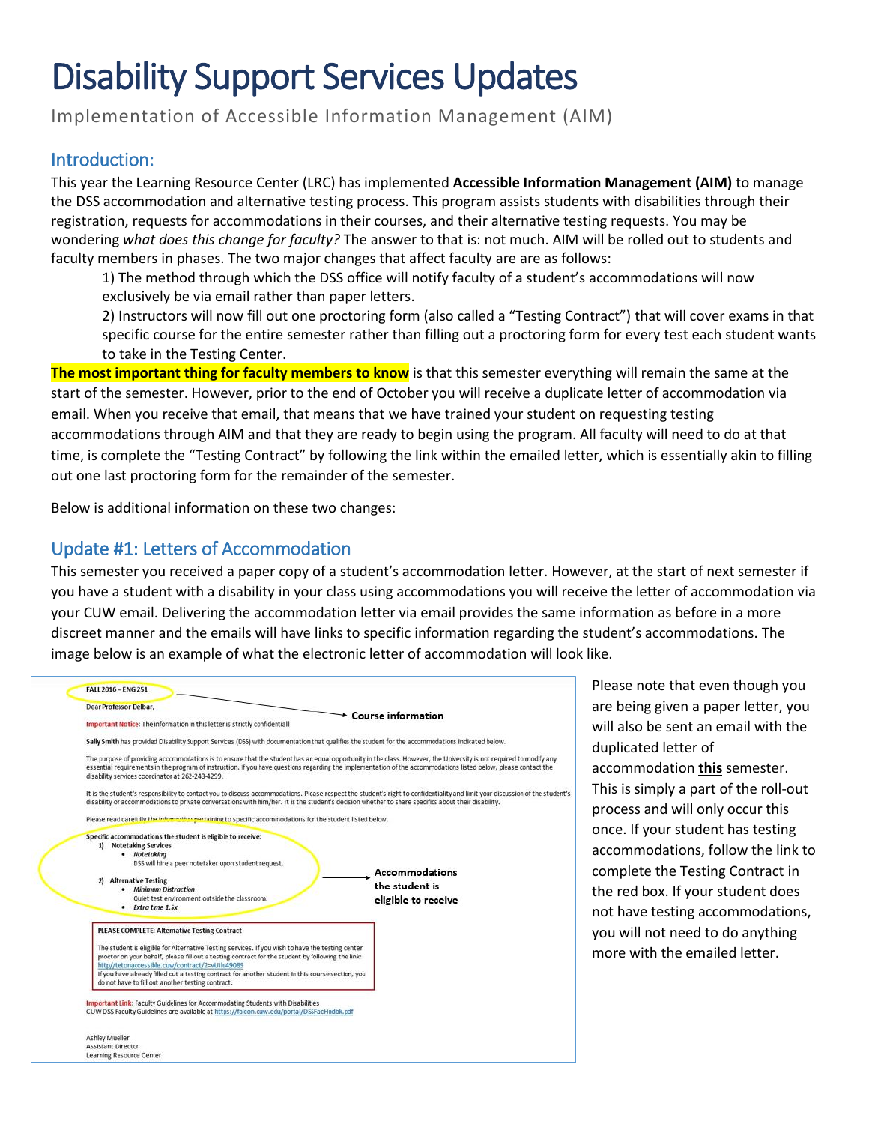# Disability Support Services Updates

Implementation of Accessible Information Management (AIM)

## Introduction:

This year the Learning Resource Center (LRC) has implemented **Accessible Information Management (AIM)** to manage the DSS accommodation and alternative testing process. This program assists students with disabilities through their registration, requests for accommodations in their courses, and their alternative testing requests. You may be wondering *what does this change for faculty?* The answer to that is: not much. AIM will be rolled out to students and faculty members in phases. The two major changes that affect faculty are are as follows:

1) The method through which the DSS office will notify faculty of a student's accommodations will now exclusively be via email rather than paper letters.

2) Instructors will now fill out one proctoring form (also called a "Testing Contract") that will cover exams in that specific course for the entire semester rather than filling out a proctoring form for every test each student wants to take in the Testing Center.

**The most important thing for faculty members to know** is that this semester everything will remain the same at the start of the semester. However, prior to the end of October you will receive a duplicate letter of accommodation via email. When you receive that email, that means that we have trained your student on requesting testing accommodations through AIM and that they are ready to begin using the program. All faculty will need to do at that time, is complete the "Testing Contract" by following the link within the emailed letter, which is essentially akin to filling out one last proctoring form for the remainder of the semester.

Below is additional information on these two changes:

# Update #1: Letters of Accommodation

This semester you received a paper copy of a student's accommodation letter. However, at the start of next semester if you have a student with a disability in your class using accommodations you will receive the letter of accommodation via your CUW email. Delivering the accommodation letter via email provides the same information as before in a more discreet manner and the emails will have links to specific information regarding the student's accommodations. The image below is an example of what the electronic letter of accommodation will look like.



Please note that even though you are being given a paper letter, you will also be sent an email with the duplicated letter of accommodation **this** semester. This is simply a part of the roll-out process and will only occur this once. If your student has testing accommodations, follow the link to complete the Testing Contract in the red box. If your student does not have testing accommodations, you will not need to do anything more with the emailed letter.